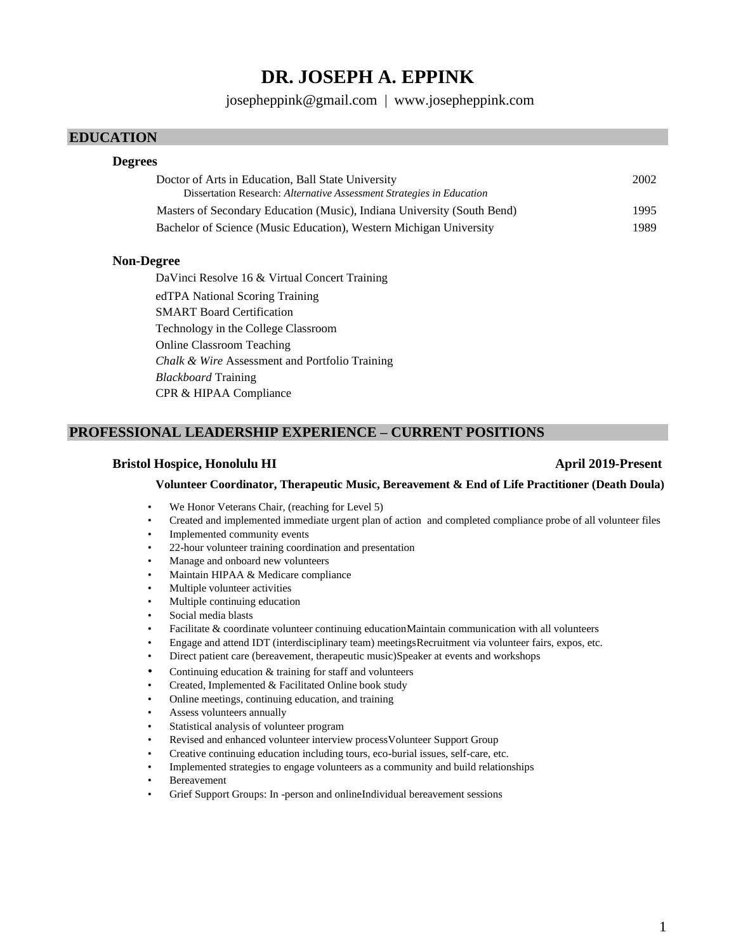# **DR. JOSEPH A. EPPINK**

[josepheppink@gmail.com](mailto:josepheppink@gmail.com) | [www.josepheppink.com](http://www.josepheppink.com/)

## **EDUCATION**

## **Degrees**

| Doctor of Arts in Education, Ball State University                      | 2002 |
|-------------------------------------------------------------------------|------|
| Dissertation Research: Alternative Assessment Strategies in Education   |      |
| Masters of Secondary Education (Music), Indiana University (South Bend) | 1995 |
| Bachelor of Science (Music Education), Western Michigan University      | 1989 |

## **Non-Degree**

DaVinci Resolve 16 & Virtual Concert Training edTPA National Scoring Training SMART Board Certification Technology in the College Classroom Online Classroom Teaching *Chalk & Wire* Assessment and Portfolio Training *Blackboard* Training CPR & HIPAA Compliance

# **PROFESSIONAL LEADERSHIP EXPERIENCE – CURRENT POSITIONS**

## **Bristol Hospice, Honolulu HI April 2019-Present**

#### **Volunteer Coordinator, Therapeutic Music, Bereavement & End of Life Practitioner (Death Doula)**

- We Honor Veterans Chair, (reaching for Level 5)
- Created and implemented immediate urgent plan of action and completed compliance probe of all volunteer files
- Implemented community events
- 22-hour volunteer training coordination and presentation
- Manage and onboard new volunteers
- Maintain HIPAA & Medicare compliance
- Multiple volunteer activities
- Multiple continuing education
- Social media blasts
- Facilitate & coordinate volunteer continuing educationMaintain communication with all volunteers
- Engage and attend IDT (interdisciplinary team) meetingsRecruitment via volunteer fairs, expos, etc.
- Direct patient care (bereavement, therapeutic music)Speaker at events and workshops
- Continuing education  $&$  training for staff and volunteers
- Created, Implemented & Facilitated Online book study
- Online meetings, continuing education, and training
- Assess volunteers annually
- Statistical analysis of volunteer program
- Revised and enhanced volunteer interview processVolunteer Support Group
- Creative continuing education including tours, eco-burial issues, self-care, etc.
- Implemented strategies to engage volunteers as a community and build relationships
- **Bereavement**
- Grief Support Groups: In -person and onlineIndividual bereavement sessions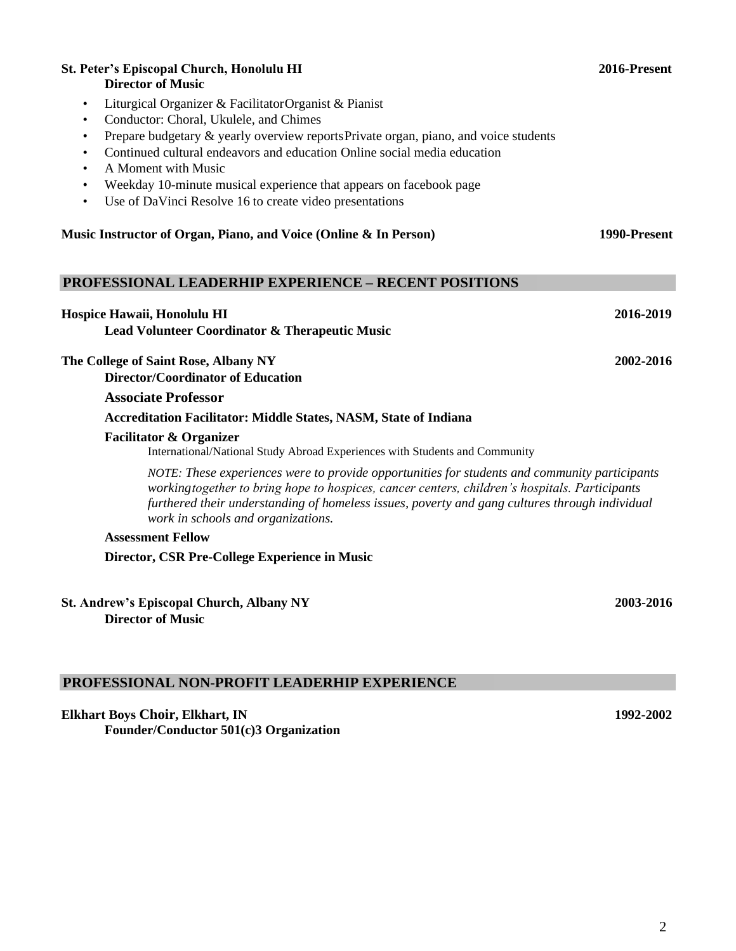| <b>St. Peter's Episcopal Church, Honolulu HI</b><br><b>Director of Music</b>                                                                                                                                                                                                                                                            | 2016-Present |
|-----------------------------------------------------------------------------------------------------------------------------------------------------------------------------------------------------------------------------------------------------------------------------------------------------------------------------------------|--------------|
| Liturgical Organizer & Facilitator Organist & Pianist<br>$\bullet$                                                                                                                                                                                                                                                                      |              |
| Conductor: Choral, Ukulele, and Chimes                                                                                                                                                                                                                                                                                                  |              |
| Prepare budgetary & yearly overview reports Private organ, piano, and voice students                                                                                                                                                                                                                                                    |              |
| Continued cultural endeavors and education Online social media education                                                                                                                                                                                                                                                                |              |
| A Moment with Music<br>Weekday 10-minute musical experience that appears on facebook page                                                                                                                                                                                                                                               |              |
| Use of DaVinci Resolve 16 to create video presentations<br>$\bullet$                                                                                                                                                                                                                                                                    |              |
| Music Instructor of Organ, Piano, and Voice (Online & In Person)                                                                                                                                                                                                                                                                        | 1990-Present |
| <b>PROFESSIONAL LEADERHIP EXPERIENCE - RECENT POSITIONS</b>                                                                                                                                                                                                                                                                             |              |
| Hospice Hawaii, Honolulu HI                                                                                                                                                                                                                                                                                                             | 2016-2019    |
| Lead Volunteer Coordinator & Therapeutic Music                                                                                                                                                                                                                                                                                          |              |
| The College of Saint Rose, Albany NY<br><b>Director/Coordinator of Education</b>                                                                                                                                                                                                                                                        | 2002-2016    |
| <b>Associate Professor</b>                                                                                                                                                                                                                                                                                                              |              |
| Accreditation Facilitator: Middle States, NASM, State of Indiana                                                                                                                                                                                                                                                                        |              |
| <b>Facilitator &amp; Organizer</b><br>International/National Study Abroad Experiences with Students and Community                                                                                                                                                                                                                       |              |
| NOTE: These experiences were to provide opportunities for students and community participants<br>working together to bring hope to hospices, cancer centers, children's hospitals. Participants<br>furthered their understanding of homeless issues, poverty and gang cultures through individual<br>work in schools and organizations. |              |
| <b>Assessment Fellow</b>                                                                                                                                                                                                                                                                                                                |              |
| Director, CSR Pre-College Experience in Music                                                                                                                                                                                                                                                                                           |              |
| <b>St. Andrew's Episcopal Church, Albany NY</b>                                                                                                                                                                                                                                                                                         | 2003-2016    |
| <b>Director of Music</b>                                                                                                                                                                                                                                                                                                                |              |
|                                                                                                                                                                                                                                                                                                                                         |              |

# **PROFESSIONAL NON-PROFIT LEADERHIP EXPERIENCE**

**Elkhart Boys Choir, Elkhart, IN 1992-2002 Founder/Conductor 501(c)3 Organization**